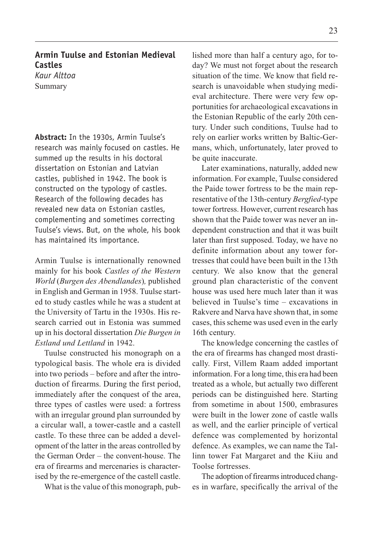## **Armin Tuulse and Estonian Medieval Castles** *Kaur Alttoa*

Summary

**Abstract:** In the 1930s, Armin Tuulse's research was mainly focused on castles. He summed up the results in his doctoral dissertation on Estonian and Latvian castles, published in 1942. The book is constructed on the typology of castles. Research of the following decades has revealed new data on Estonian castles, complementing and sometimes correcting Tuulse's views. But, on the whole, his book has maintained its importance.

Armin Tuulse is internationally renowned mainly for his book Castles of the Western World (Burgen des Abendlandes), published in English and German in 1958. Tuulse started to study castles while he was a student at the University of Tartu in the 1930s. His research carried out in Estonia was summed up in his doctoral dissertation Die Burgen in Estland und Lettland in 1942.

Tuulse constructed his monograph on a typological basis. The whole era is divided into two periods – before and after the introduction of firearms. During the first period, immediately after the conquest of the area, three types of castles were used: a fortress with an irregular ground plan surrounded by a circular wall, a tower-castle and a castell castle. To these three can be added a development of the latter in the areas controlled by the German Order  $-$  the convent-house. The era of firearms and mercenaries is characterised by the re-emergence of the castell castle.

What is the value of this monograph, pub-

lished more than half a century ago, for today? We must not forget about the research situation of the time. We know that field research is unavoidable when studying medieval architecture. There were very few opportunities for archaeological excavations in the Estonian Republic of the early 20th century. Under such conditions, Tuulse had to rely on earlier works written by Baltic-Germans, which, unfortunately, later proved to be quite inaccurate.

Later examinations, naturally, added new information. For example, Tuulse considered the Paide tower fortress to be the main representative of the 13th-century Bergfied-type tower fortress. However, current research has shown that the Paide tower was never an independent construction and that it was built later than first supposed. Today, we have no definite information about any tower fortresses that could have been built in the 13th century. We also know that the general ground plan characteristic of the convent house was used here much later than it was believed in Tuulse's time  $-$  excavations in Rakvere and Narva have shown that, in some cases, this scheme was used even in the early 16th century.

The knowledge concerning the castles of the era of firearms has changed most drastically. First, Villem Raam added important information. For a long time, this era had been treated as a whole, but actually two different periods can be distinguished here. Starting from sometime in about 1500, embrasures were built in the lower zone of castle walls as well, and the earlier principle of vertical defence was complemented by horizontal defence. As examples, we can name the Tallinn tower Fat Margaret and the Kiiu and Toolse fortresses.

The adoption of firearms introduced changes in warfare, specifically the arrival of the